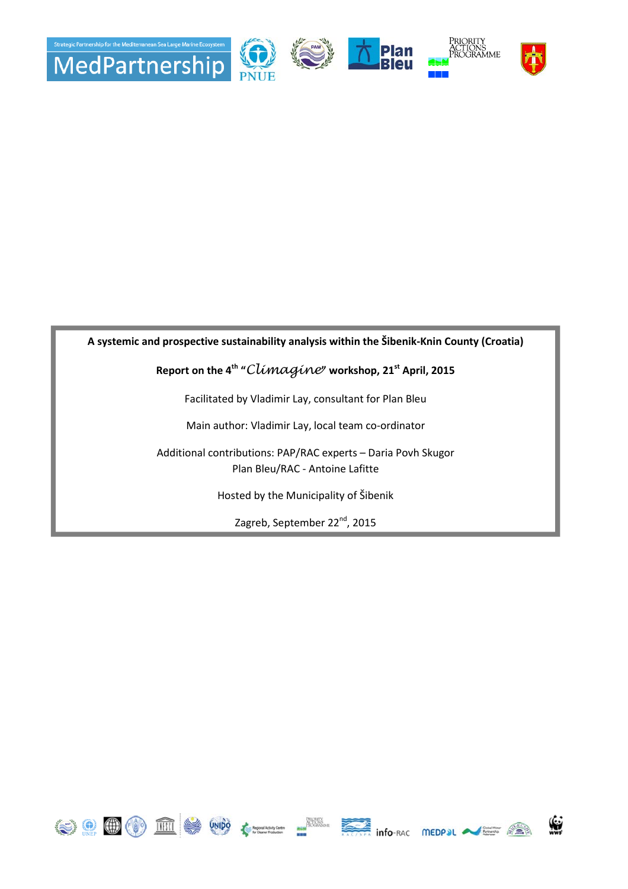

## **A systemic and prospective sustainability analysis within the Šibenik-Knin County (Croatia)**

## **Report on the 4th "**Climagine**" workshop, 21st April, 2015**

Facilitated by Vladimir Lay, consultant for Plan Bleu

Main author: Vladimir Lay, local team co-ordinator

Additional contributions: PAP/RAC experts – Daria Povh Skugor Plan Bleu/RAC - Antoine Lafitte

Hosted by the Municipality of Šibenik

Zagreb, September 22<sup>nd</sup>, 2015











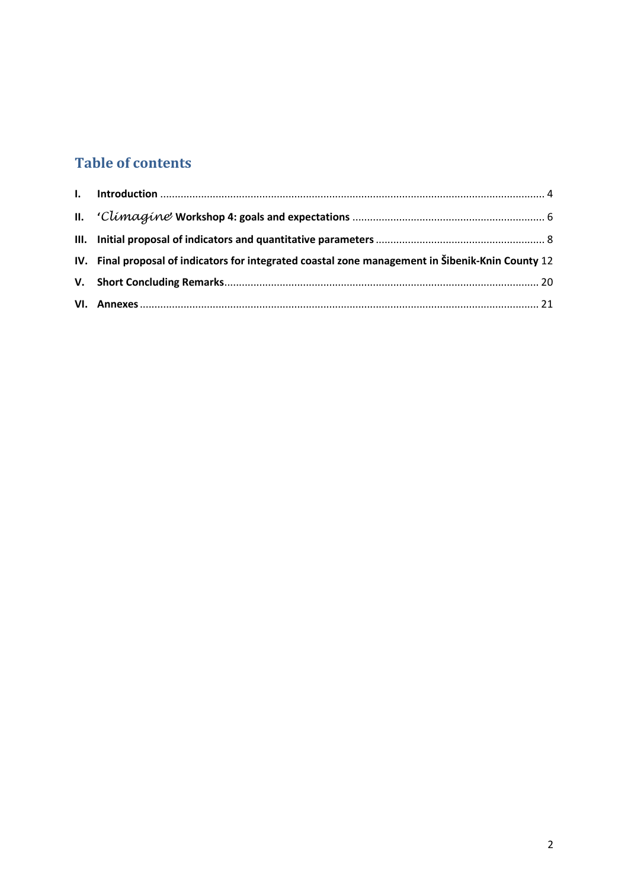# **Table of contents**

| IV. Final proposal of indicators for integrated coastal zone management in Šibenik-Knin County 12 |
|---------------------------------------------------------------------------------------------------|
|                                                                                                   |
|                                                                                                   |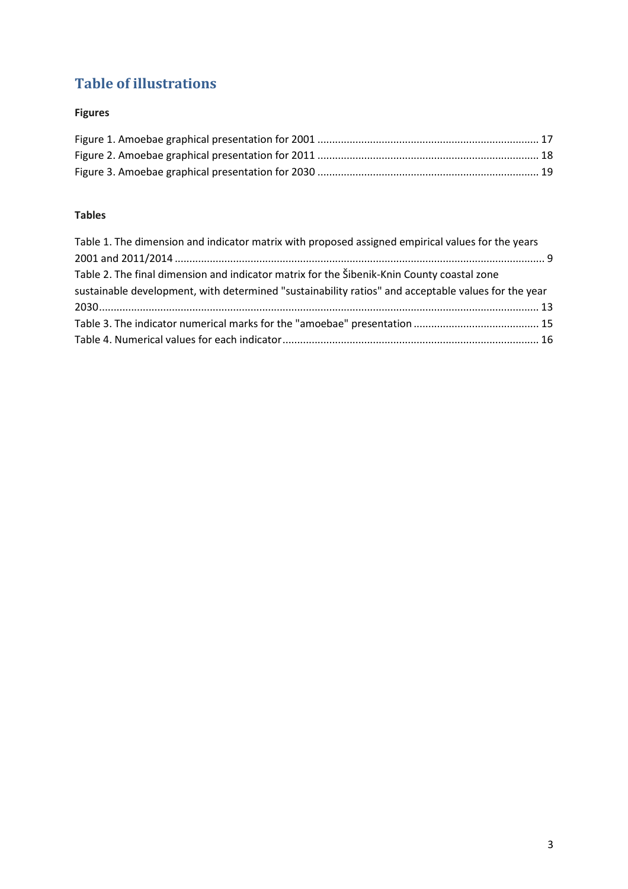# **Table of illustrations**

## **Figures**

## **Tables**

| Table 1. The dimension and indicator matrix with proposed assigned empirical values for the years   |  |
|-----------------------------------------------------------------------------------------------------|--|
|                                                                                                     |  |
| Table 2. The final dimension and indicator matrix for the Šibenik-Knin County coastal zone          |  |
| sustainable development, with determined "sustainability ratios" and acceptable values for the year |  |
|                                                                                                     |  |
|                                                                                                     |  |
|                                                                                                     |  |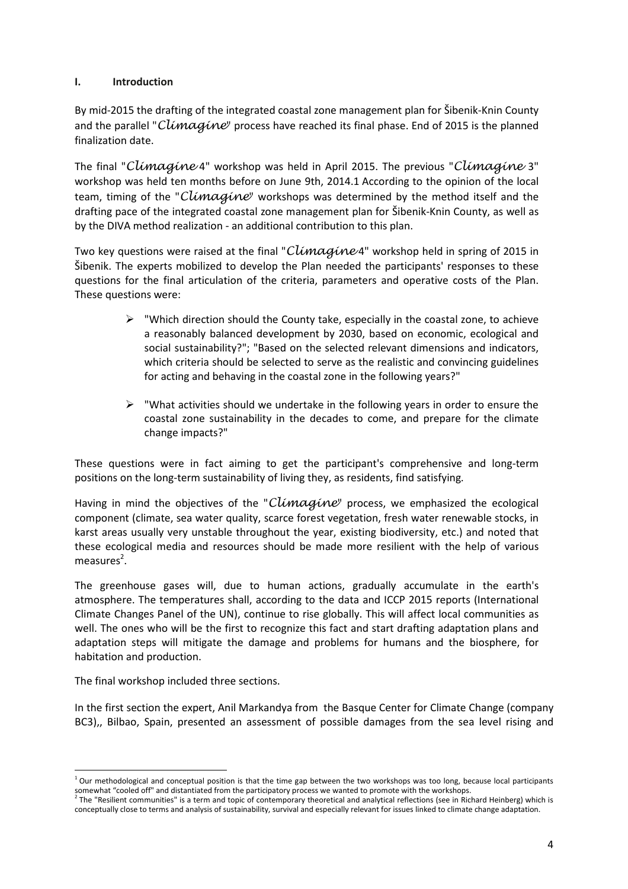## **I. Introduction**

By mid-2015 the drafting of the integrated coastal zone management plan for Šibenik-Knin County and the parallel "Climagine" process have reached its final phase. End of 2015 is the planned finalization date.

The final "Climagine 4" workshop was held in April 2015. The previous "Climagine 3" workshop was held ten months before on June 9th, 2014.1 According to the opinion of the local team, timing of the "Climagine" workshops was determined by the method itself and the drafting pace of the integrated coastal zone management plan for Šibenik-Knin County, as well as by the DIVA method realization - an additional contribution to this plan.

Two key questions were raised at the final "Climagine 4" workshop held in spring of 2015 in Šibenik. The experts mobilized to develop the Plan needed the participants' responses to these questions for the final articulation of the criteria, parameters and operative costs of the Plan. These questions were:

- $\triangleright$  "Which direction should the County take, especially in the coastal zone, to achieve a reasonably balanced development by 2030, based on economic, ecological and social sustainability?"; "Based on the selected relevant dimensions and indicators, which criteria should be selected to serve as the realistic and convincing guidelines for acting and behaving in the coastal zone in the following years?"
- $\triangleright$  "What activities should we undertake in the following years in order to ensure the coastal zone sustainability in the decades to come, and prepare for the climate change impacts?"

These questions were in fact aiming to get the participant's comprehensive and long-term positions on the long-term sustainability of living they, as residents, find satisfying.

Having in mind the objectives of the "Climagine" process, we emphasized the ecological component (climate, sea water quality, scarce forest vegetation, fresh water renewable stocks, in karst areas usually very unstable throughout the year, existing biodiversity, etc.) and noted that these ecological media and resources should be made more resilient with the help of various measures<sup>2</sup>.

The greenhouse gases will, due to human actions, gradually accumulate in the earth's atmosphere. The temperatures shall, according to the data and ICCP 2015 reports (International Climate Changes Panel of the UN), continue to rise globally. This will affect local communities as well. The ones who will be the first to recognize this fact and start drafting adaptation plans and adaptation steps will mitigate the damage and problems for humans and the biosphere, for habitation and production.

The final workshop included three sections.

In the first section the expert, Anil Markandya from the Basque Center for Climate Change (company BC3),, Bilbao, Spain, presented an assessment of possible damages from the sea level rising and

 $1$  Our methodological and conceptual position is that the time gap between the two workshops was too long, because local participants somewhat "cooled off" and distantiated from the participatory process we wanted to promote with the workshops.<br><sup>2</sup> The "Resilient communities" is a term and topic of contemporary theoretical and analytical reflections (see

conceptually close to terms and analysis of sustainability, survival and especially relevant for issues linked to climate change adaptation.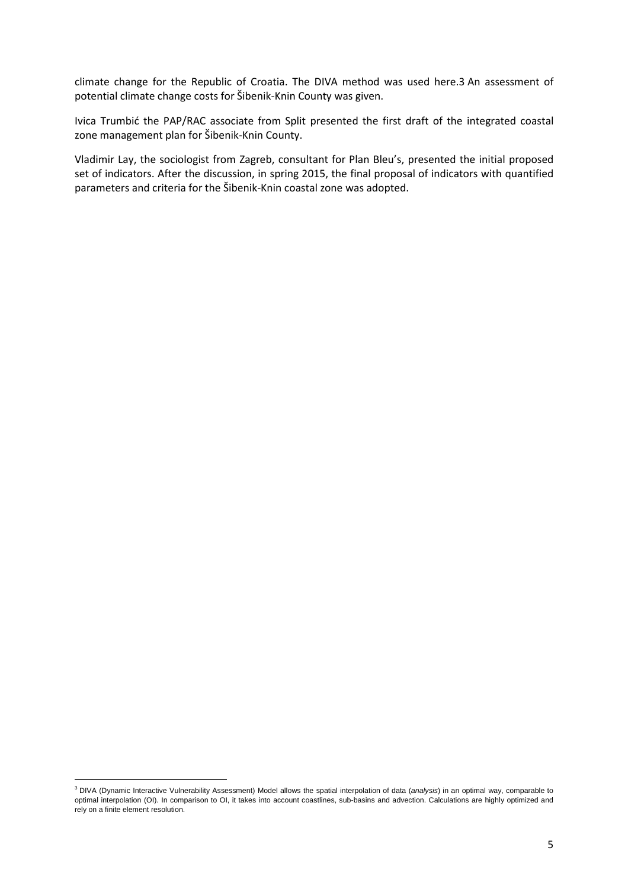climate change for the Republic of Croatia. The DIVA method was used here.3 An assessment of potential climate change costs for Šibenik-Knin County was given.

Ivica Trumbić the PAP/RAC associate from Split presented the first draft of the integrated coastal zone management plan for Šibenik-Knin County.

Vladimir Lay, the sociologist from Zagreb, consultant for Plan Bleu's, presented the initial proposed set of indicators. After the discussion, in spring 2015, the final proposal of indicators with quantified parameters and criteria for the Šibenik-Knin coastal zone was adopted.

<sup>&</sup>lt;sup>3</sup> DIVA (Dynamic Interactive Vulnerability Assessment) Model allows the spatial interpolation of data (analysis) in an optimal way, comparable to optimal interpolation (OI). In comparison to OI, it takes into account coastlines, sub-basins and advection. Calculations are highly optimized and rely on a finite element resolution.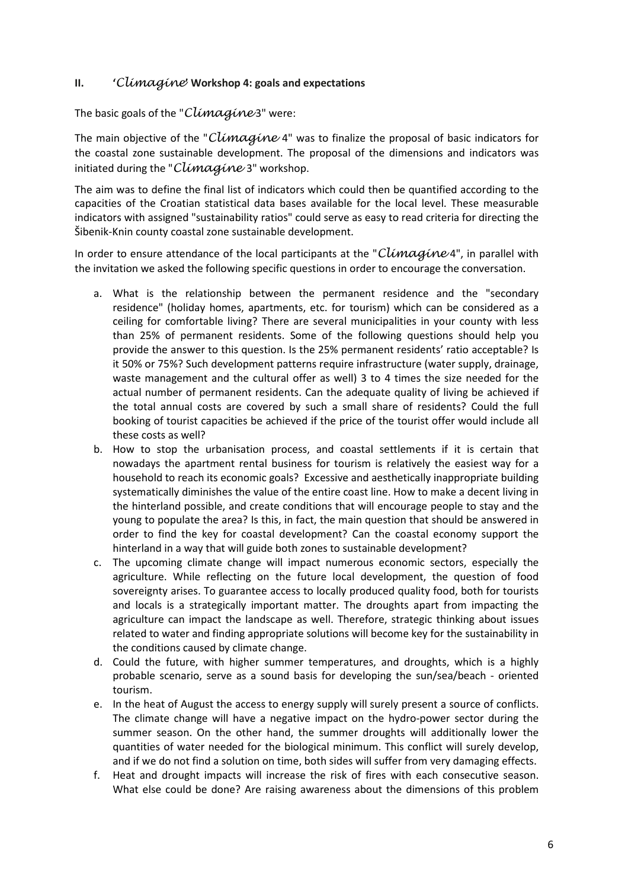## **II. '**Climagine**' Workshop 4: goals and expectations**

## The basic goals of the "Climagine 3" were:

The main objective of the "Climagine 4" was to finalize the proposal of basic indicators for the coastal zone sustainable development. The proposal of the dimensions and indicators was initiated during the "Climagine 3" workshop.

The aim was to define the final list of indicators which could then be quantified according to the capacities of the Croatian statistical data bases available for the local level. These measurable indicators with assigned "sustainability ratios" could serve as easy to read criteria for directing the Šibenik-Knin county coastal zone sustainable development.

In order to ensure attendance of the local participants at the "Climagine 4", in parallel with the invitation we asked the following specific questions in order to encourage the conversation.

- a. What is the relationship between the permanent residence and the "secondary residence" (holiday homes, apartments, etc. for tourism) which can be considered as a ceiling for comfortable living? There are several municipalities in your county with less than 25% of permanent residents. Some of the following questions should help you provide the answer to this question. Is the 25% permanent residents' ratio acceptable? Is it 50% or 75%? Such development patterns require infrastructure (water supply, drainage, waste management and the cultural offer as well) 3 to 4 times the size needed for the actual number of permanent residents. Can the adequate quality of living be achieved if the total annual costs are covered by such a small share of residents? Could the full booking of tourist capacities be achieved if the price of the tourist offer would include all these costs as well?
- b. How to stop the urbanisation process, and coastal settlements if it is certain that nowadays the apartment rental business for tourism is relatively the easiest way for a household to reach its economic goals? Excessive and aesthetically inappropriate building systematically diminishes the value of the entire coast line. How to make a decent living in the hinterland possible, and create conditions that will encourage people to stay and the young to populate the area? Is this, in fact, the main question that should be answered in order to find the key for coastal development? Can the coastal economy support the hinterland in a way that will guide both zones to sustainable development?
- c. The upcoming climate change will impact numerous economic sectors, especially the agriculture. While reflecting on the future local development, the question of food sovereignty arises. To guarantee access to locally produced quality food, both for tourists and locals is a strategically important matter. The droughts apart from impacting the agriculture can impact the landscape as well. Therefore, strategic thinking about issues related to water and finding appropriate solutions will become key for the sustainability in the conditions caused by climate change.
- d. Could the future, with higher summer temperatures, and droughts, which is a highly probable scenario, serve as a sound basis for developing the sun/sea/beach - oriented tourism.
- e. In the heat of August the access to energy supply will surely present a source of conflicts. The climate change will have a negative impact on the hydro-power sector during the summer season. On the other hand, the summer droughts will additionally lower the quantities of water needed for the biological minimum. This conflict will surely develop, and if we do not find a solution on time, both sides will suffer from very damaging effects.
- f. Heat and drought impacts will increase the risk of fires with each consecutive season. What else could be done? Are raising awareness about the dimensions of this problem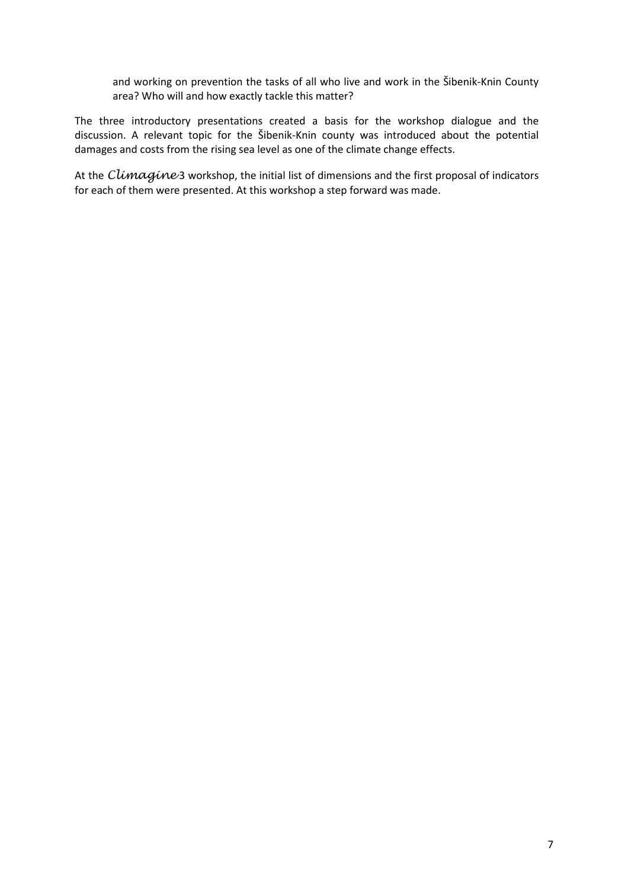and working on prevention the tasks of all who live and work in the Šibenik-Knin County area? Who will and how exactly tackle this matter?

The three introductory presentations created a basis for the workshop dialogue and the discussion. A relevant topic for the Šibenik-Knin county was introduced about the potential damages and costs from the rising sea level as one of the climate change effects.

At the Climagine 3 workshop, the initial list of dimensions and the first proposal of indicators for each of them were presented. At this workshop a step forward was made.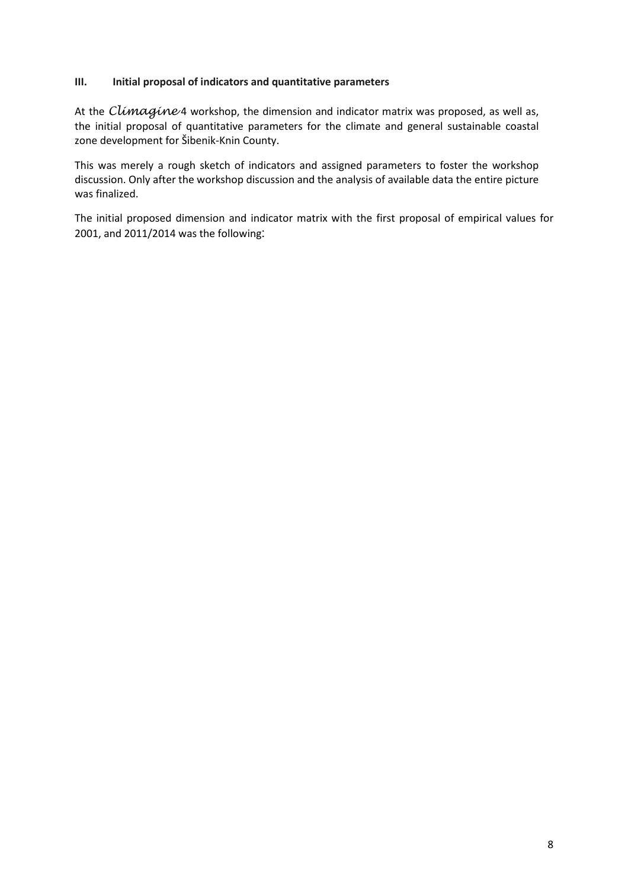## **III. Initial proposal of indicators and quantitative parameters**

At the  $Climaqine 4$  workshop, the dimension and indicator matrix was proposed, as well as, the initial proposal of quantitative parameters for the climate and general sustainable coastal zone development for Šibenik-Knin County.

This was merely a rough sketch of indicators and assigned parameters to foster the workshop discussion. Only after the workshop discussion and the analysis of available data the entire picture was finalized.

The initial proposed dimension and indicator matrix with the first proposal of empirical values for 2001, and 2011/2014 was the following: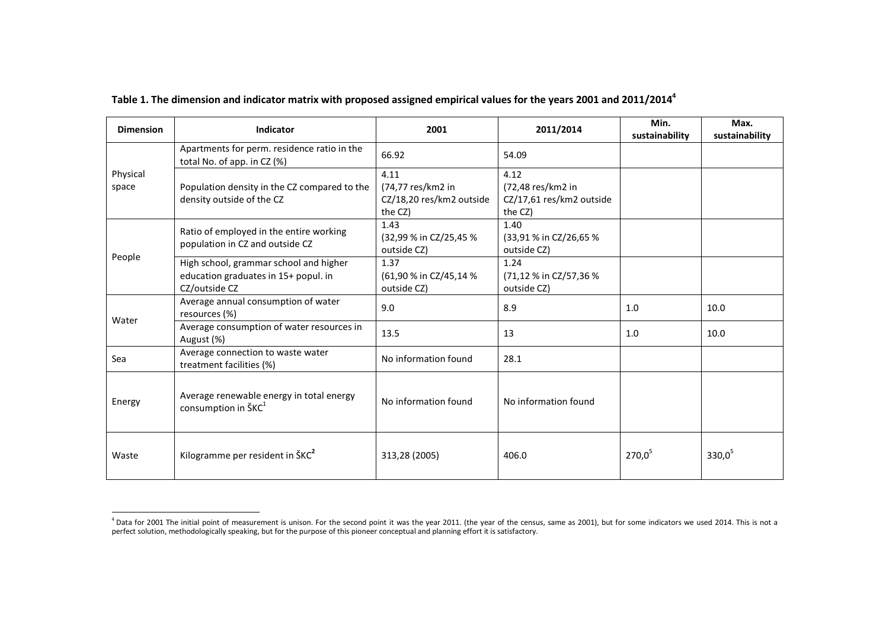| <b>Dimension</b>                                                     | Indicator                                                                                       | 2001                                                             | 2011/2014                                                        | Min.<br>sustainability | Max.<br>sustainability |
|----------------------------------------------------------------------|-------------------------------------------------------------------------------------------------|------------------------------------------------------------------|------------------------------------------------------------------|------------------------|------------------------|
|                                                                      | Apartments for perm. residence ratio in the<br>total No. of app. in CZ (%)                      | 66.92                                                            | 54.09                                                            |                        |                        |
| Physical<br>space                                                    | Population density in the CZ compared to the<br>density outside of the CZ                       | 4.11<br>(74,77 res/km2 in<br>CZ/18,20 res/km2 outside<br>the CZ) | 4.12<br>(72,48 res/km2 in<br>CZ/17,61 res/km2 outside<br>the CZ) |                        |                        |
|                                                                      | Ratio of employed in the entire working<br>population in CZ and outside CZ                      | 1.43<br>(32,99 % in CZ/25,45 %<br>outside CZ)                    | 1.40<br>(33,91 % in CZ/26,65 %<br>outside CZ)                    |                        |                        |
| People                                                               | High school, grammar school and higher<br>education graduates in 15+ popul. in<br>CZ/outside CZ | 1.37<br>(61,90 % in CZ/45,14 %<br>outside CZ)                    | 1.24<br>(71,12 % in CZ/57,36 %<br>outside CZ)                    |                        |                        |
| Water                                                                | Average annual consumption of water<br>resources (%)                                            | 9.0                                                              | 8.9                                                              | 1.0                    | 10.0                   |
|                                                                      | Average consumption of water resources in<br>August (%)                                         | 13.5                                                             | 13                                                               | 1.0                    | 10.0                   |
| Average connection to waste water<br>Sea<br>treatment facilities (%) |                                                                                                 | No information found                                             | 28.1                                                             |                        |                        |
| Energy                                                               | Average renewable energy in total energy<br>consumption in ŠKC <sup>1</sup>                     | No information found                                             | No information found                                             |                        |                        |
| Waste                                                                | Kilogramme per resident in ŠKC <sup>2</sup>                                                     | 313,28 (2005)                                                    | 406.0                                                            | $270,0^{5}$            | $330,0^{5}$            |

## **Table 1. The dimension and indicator matrix with proposed assigned empirical values for the years 2001 and 2011/20144**

<sup>&</sup>lt;sup>4</sup> Data for 2001 The initial point of measurement is unison. For the second point it was the year 2011. (the year of the census, same as 2001), but for some indicators we used 2014. This is not a<br>perfect solution, methodo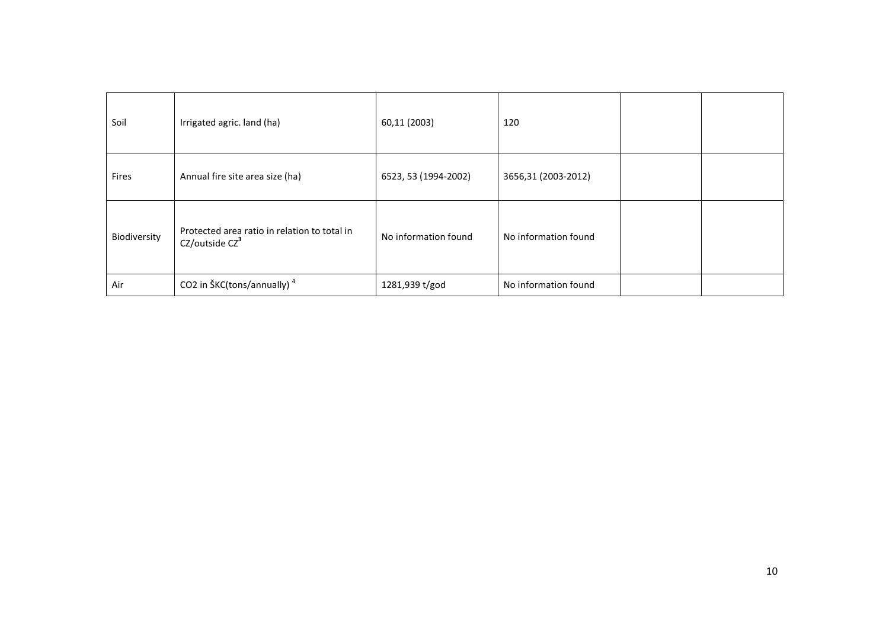| Soil         | Irrigated agric. land (ha)                                                 | 60,11 (2003)         | 120                  |  |
|--------------|----------------------------------------------------------------------------|----------------------|----------------------|--|
| Fires        | Annual fire site area size (ha)                                            | 6523, 53 (1994-2002) | 3656,31 (2003-2012)  |  |
| Biodiversity | Protected area ratio in relation to total in<br>CZ/outside CZ <sup>3</sup> | No information found | No information found |  |
| Air          | CO2 in ŠKC(tons/annually) <sup>4</sup>                                     | 1281,939 t/god       | No information found |  |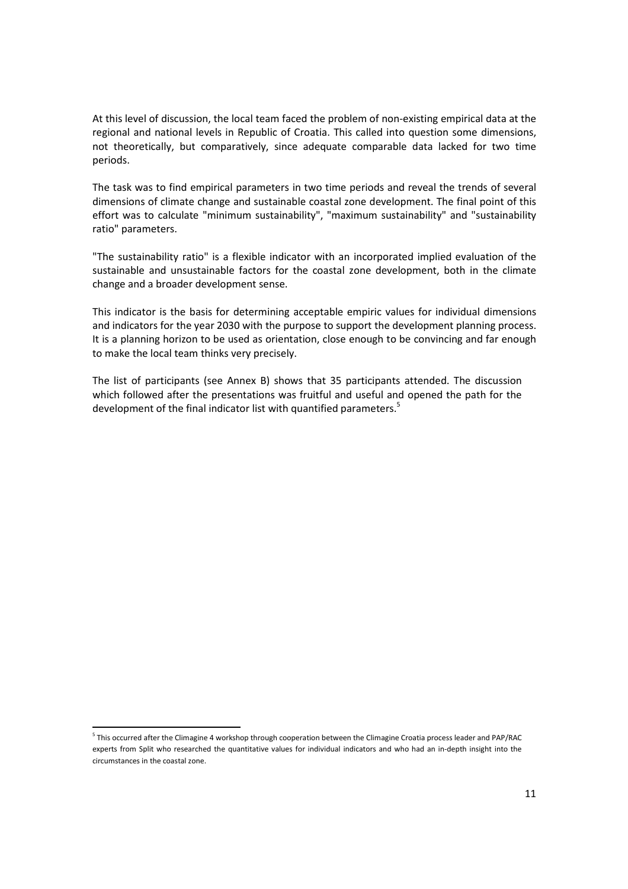At this level of discussion, the local team faced the problem of non-existing empirical data at the regional and national levels in Republic of Croatia. This called into question some dimensions, not theoretically, but comparatively, since adequate comparable data lacked for two time periods.

The task was to find empirical parameters in two time periods and reveal the trends of several dimensions of climate change and sustainable coastal zone development. The final point of this effort was to calculate "minimum sustainability", "maximum sustainability" and "sustainability ratio" parameters.

"The sustainability ratio" is a flexible indicator with an incorporated implied evaluation of the sustainable and unsustainable factors for the coastal zone development, both in the climate change and a broader development sense.

This indicator is the basis for determining acceptable empiric values for individual dimensions and indicators for the year 2030 with the purpose to support the development planning process. It is a planning horizon to be used as orientation, close enough to be convincing and far enough to make the local team thinks very precisely.

The list of participants (see Annex B) shows that 35 participants attended. The discussion which followed after the presentations was fruitful and useful and opened the path for the development of the final indicator list with quantified parameters.<sup>5</sup>

.<br>-

<sup>&</sup>lt;sup>5</sup> This occurred after the Climagine 4 workshop through cooperation between the Climagine Croatia process leader and PAP/RAC experts from Split who researched the quantitative values for individual indicators and who had an in-depth insight into the circumstances in the coastal zone.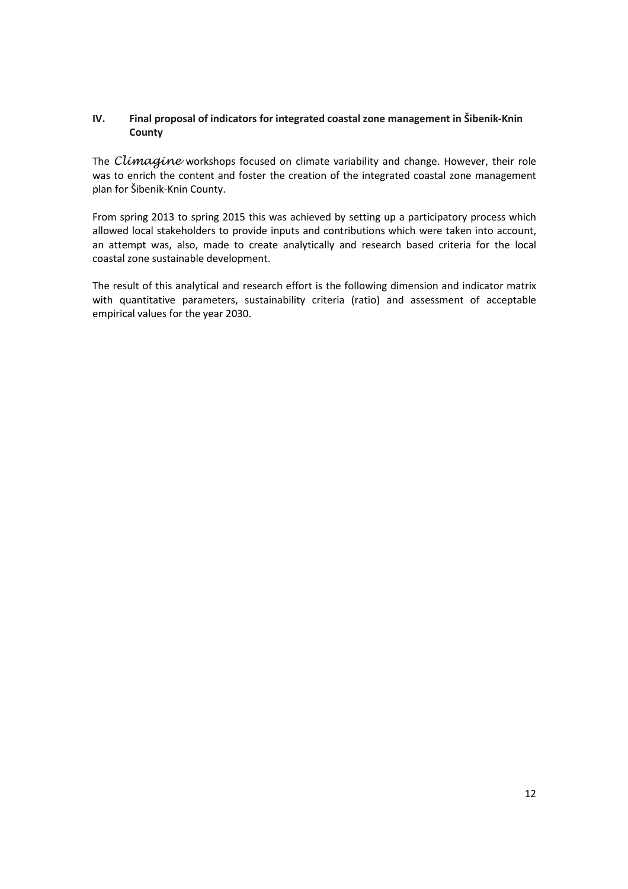## **IV. Final proposal of indicators for integrated coastal zone management in Šibenik-Knin County**

The Climagine workshops focused on climate variability and change. However, their role was to enrich the content and foster the creation of the integrated coastal zone management plan for Šibenik-Knin County.

From spring 2013 to spring 2015 this was achieved by setting up a participatory process which allowed local stakeholders to provide inputs and contributions which were taken into account, an attempt was, also, made to create analytically and research based criteria for the local coastal zone sustainable development.

The result of this analytical and research effort is the following dimension and indicator matrix with quantitative parameters, sustainability criteria (ratio) and assessment of acceptable empirical values for the year 2030.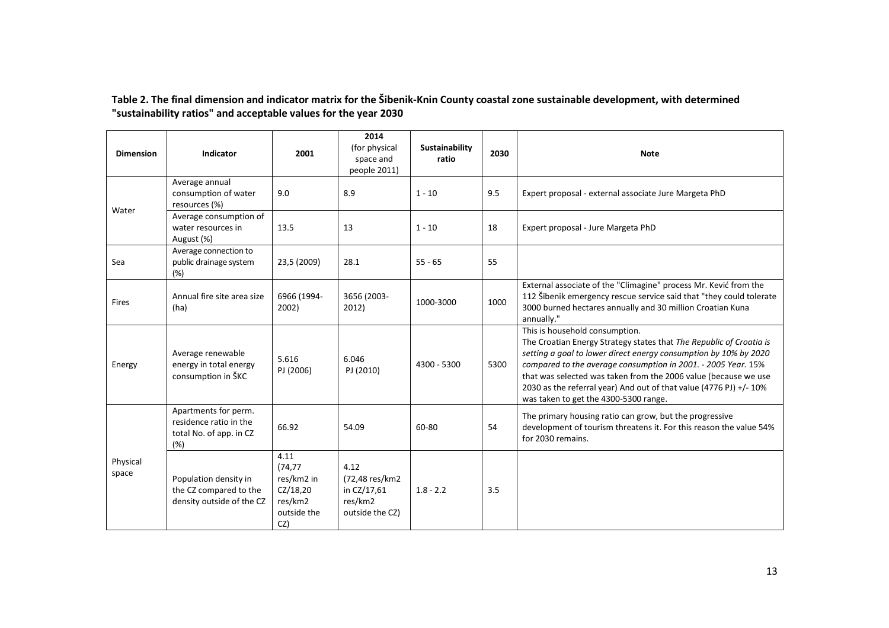## **Table 2. The final dimension and indicator matrix for the Šibenik-Knin County coastal zone sustainable development, with determined "sustainability ratios" and acceptable values for the year 2030**

| <b>Dimension</b>  | Indicator                                                                        | 2001                                                                        | 2014<br>(for physical<br>space and<br>people 2011)                   | Sustainability<br>ratio | 2030 | <b>Note</b>                                                                                                                                                                                                                                                                                                                                                                                                                  |
|-------------------|----------------------------------------------------------------------------------|-----------------------------------------------------------------------------|----------------------------------------------------------------------|-------------------------|------|------------------------------------------------------------------------------------------------------------------------------------------------------------------------------------------------------------------------------------------------------------------------------------------------------------------------------------------------------------------------------------------------------------------------------|
| Water             | Average annual<br>consumption of water<br>resources (%)                          | 9.0                                                                         | 8.9                                                                  | $1 - 10$                | 9.5  | Expert proposal - external associate Jure Margeta PhD                                                                                                                                                                                                                                                                                                                                                                        |
|                   | Average consumption of<br>water resources in<br>August (%)                       | 13.5                                                                        | 13                                                                   | $1 - 10$                | 18   | Expert proposal - Jure Margeta PhD                                                                                                                                                                                                                                                                                                                                                                                           |
| Sea               | Average connection to<br>public drainage system<br>(%)                           | 23,5 (2009)                                                                 | 28.1                                                                 | $55 - 65$               | 55   |                                                                                                                                                                                                                                                                                                                                                                                                                              |
| Fires             | Annual fire site area size<br>(ha)                                               | 6966 (1994-<br>2002)                                                        | 3656 (2003-<br>2012)                                                 | 1000-3000               | 1000 | External associate of the "Climagine" process Mr. Kević from the<br>112 Šibenik emergency rescue service said that "they could tolerate<br>3000 burned hectares annually and 30 million Croatian Kuna<br>annually."                                                                                                                                                                                                          |
| Energy            | Average renewable<br>energy in total energy<br>consumption in ŠKC                | 5.616<br>PJ (2006)                                                          | 6.046<br>PJ (2010)                                                   | 4300 - 5300             | 5300 | This is household consumption.<br>The Croatian Energy Strategy states that The Republic of Croatia is<br>setting a goal to lower direct energy consumption by 10% by 2020<br>compared to the average consumption in 2001. - 2005 Year. 15%<br>that was selected was taken from the 2006 value (because we use<br>2030 as the referral year) And out of that value (4776 PJ) +/- 10%<br>was taken to get the 4300-5300 range. |
|                   | Apartments for perm.<br>residence ratio in the<br>total No. of app. in CZ<br>(%) | 66.92                                                                       | 54.09                                                                | 60-80                   | 54   | The primary housing ratio can grow, but the progressive<br>development of tourism threatens it. For this reason the value 54%<br>for 2030 remains.                                                                                                                                                                                                                                                                           |
| Physical<br>space | Population density in<br>the CZ compared to the<br>density outside of the CZ     | 4.11<br>(74, 77)<br>res/km2 in<br>CZ/18,20<br>res/km2<br>outside the<br>CZ) | 4.12<br>(72,48 res/km2)<br>in CZ/17,61<br>res/km2<br>outside the CZ) | $1.8 - 2.2$             | 3.5  |                                                                                                                                                                                                                                                                                                                                                                                                                              |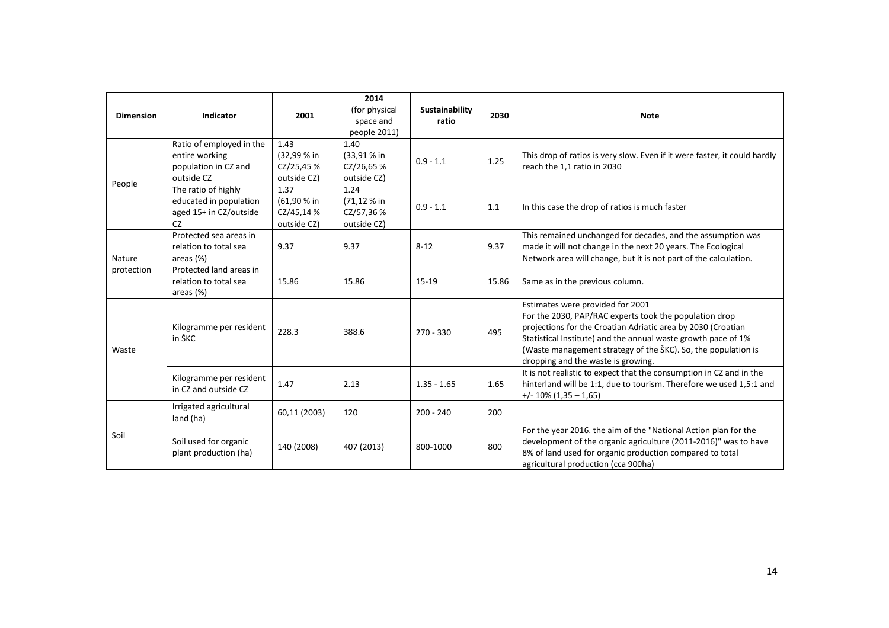| <b>Dimension</b> | Indicator                                                                        | 2001                                             | 2014<br>(for physical<br>space and<br>people 2011) | <b>Sustainability</b><br>ratio | 2030  | <b>Note</b>                                                                                                                                                                                                                                                                                                                        |
|------------------|----------------------------------------------------------------------------------|--------------------------------------------------|----------------------------------------------------|--------------------------------|-------|------------------------------------------------------------------------------------------------------------------------------------------------------------------------------------------------------------------------------------------------------------------------------------------------------------------------------------|
|                  | Ratio of employed in the<br>entire working<br>population in CZ and<br>outside CZ | 1.43<br>(32,99 % in<br>CZ/25,45 %<br>outside CZ) | 1.40<br>(33,91 % in<br>CZ/26,65 %<br>outside CZ)   | $0.9 - 1.1$                    | 1.25  | This drop of ratios is very slow. Even if it were faster, it could hardly<br>reach the 1,1 ratio in 2030                                                                                                                                                                                                                           |
| People           | The ratio of highly<br>educated in population<br>aged 15+ in CZ/outside<br>CZ    | 1.37<br>(61,90 % in<br>CZ/45,14 %<br>outside CZ) | 1.24<br>(71,12 % in<br>CZ/57,36 %<br>outside CZ)   | $0.9 - 1.1$                    | 1.1   | In this case the drop of ratios is much faster                                                                                                                                                                                                                                                                                     |
| Nature           | Protected sea areas in<br>relation to total sea<br>areas (%)                     | 9.37                                             | 9.37                                               | $8 - 12$                       | 9.37  | This remained unchanged for decades, and the assumption was<br>made it will not change in the next 20 years. The Ecological<br>Network area will change, but it is not part of the calculation.                                                                                                                                    |
| protection       | Protected land areas in<br>relation to total sea<br>areas (%)                    | 15.86                                            | 15.86                                              | $15 - 19$                      | 15.86 | Same as in the previous column.                                                                                                                                                                                                                                                                                                    |
| Waste            | Kilogramme per resident<br>in ŠKC                                                | 228.3                                            | 388.6                                              | $270 - 330$                    | 495   | Estimates were provided for 2001<br>For the 2030, PAP/RAC experts took the population drop<br>projections for the Croatian Adriatic area by 2030 (Croatian<br>Statistical Institute) and the annual waste growth pace of 1%<br>(Waste management strategy of the SKC). So, the population is<br>dropping and the waste is growing. |
|                  | Kilogramme per resident<br>in CZ and outside CZ                                  | 1.47                                             | 2.13                                               | $1.35 - 1.65$                  | 1.65  | It is not realistic to expect that the consumption in CZ and in the<br>hinterland will be 1:1, due to tourism. Therefore we used 1,5:1 and<br>$+/- 10\% (1,35 - 1,65)$                                                                                                                                                             |
|                  | Irrigated agricultural<br>land (ha)                                              | 60,11 (2003)                                     | 120                                                | $200 - 240$                    | 200   |                                                                                                                                                                                                                                                                                                                                    |
| Soil             | Soil used for organic<br>plant production (ha)                                   | 140 (2008)                                       | 407 (2013)                                         | 800-1000                       | 800   | For the year 2016. the aim of the "National Action plan for the<br>development of the organic agriculture (2011-2016)" was to have<br>8% of land used for organic production compared to total<br>agricultural production (cca 900ha)                                                                                              |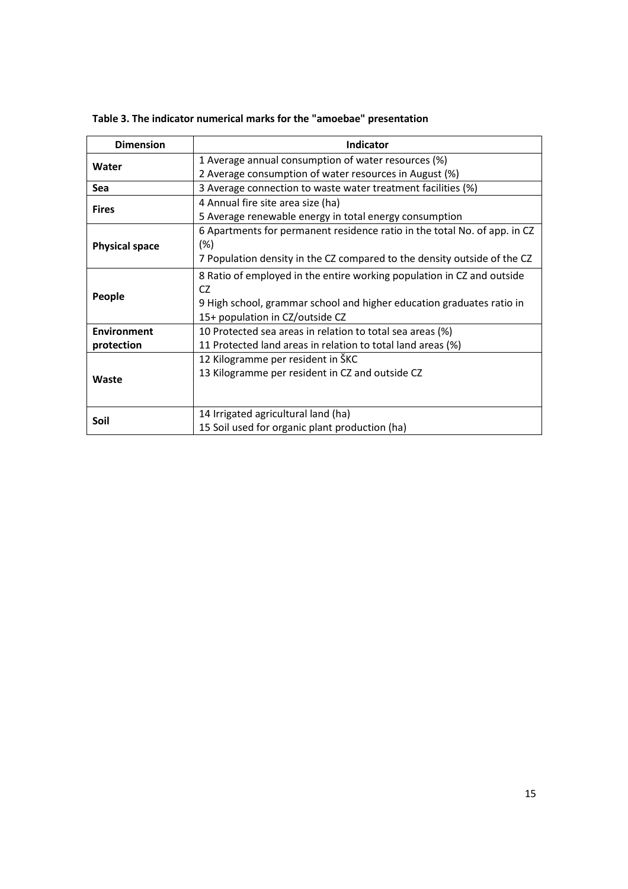| <b>Dimension</b>      | Indicator                                                                 |
|-----------------------|---------------------------------------------------------------------------|
| Water                 | 1 Average annual consumption of water resources (%)                       |
|                       | 2 Average consumption of water resources in August (%)                    |
| <b>Sea</b>            | 3 Average connection to waste water treatment facilities (%)              |
| <b>Fires</b>          | 4 Annual fire site area size (ha)                                         |
|                       | 5 Average renewable energy in total energy consumption                    |
|                       | 6 Apartments for permanent residence ratio in the total No. of app. in CZ |
| <b>Physical space</b> | $(\%)$                                                                    |
|                       | 7 Population density in the CZ compared to the density outside of the CZ  |
|                       | 8 Ratio of employed in the entire working population in CZ and outside    |
|                       | CZ                                                                        |
| People                | 9 High school, grammar school and higher education graduates ratio in     |
|                       | 15+ population in CZ/outside CZ                                           |
| <b>Environment</b>    | 10 Protected sea areas in relation to total sea areas (%)                 |
| protection            | 11 Protected land areas in relation to total land areas (%)               |
|                       | 12 Kilogramme per resident in ŠKC                                         |
| Waste                 | 13 Kilogramme per resident in CZ and outside CZ                           |
|                       |                                                                           |
|                       |                                                                           |
| Soil                  | 14 Irrigated agricultural land (ha)                                       |
|                       | 15 Soil used for organic plant production (ha)                            |

## **Table 3. The indicator numerical marks for the "amoebae" presentation**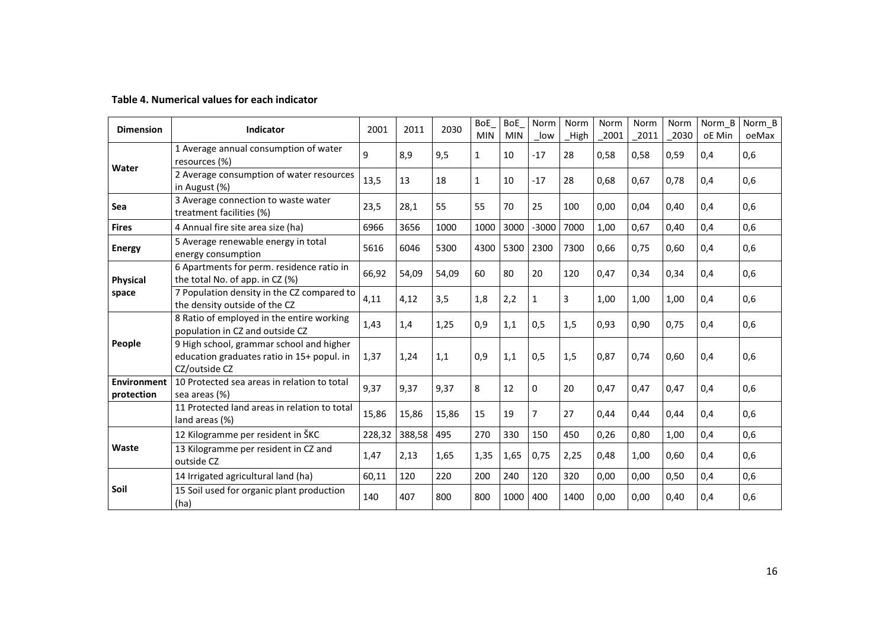## **Table 4. Numerical values for each indicator**

| <b>Dimension</b>          | Indicator                                                                                               | 2001   | 2011   | 2030  | <b>BoE</b><br><b>MIN</b> | <b>BoE</b><br><b>MIN</b> | Norm<br>low    | Norm<br>High | Norm<br>2001 | Norm<br>2011 | Norm<br>2030 | Norm B<br>oE Min | Norm B<br>oeMax |
|---------------------------|---------------------------------------------------------------------------------------------------------|--------|--------|-------|--------------------------|--------------------------|----------------|--------------|--------------|--------------|--------------|------------------|-----------------|
| Water                     | 1 Average annual consumption of water<br>resources (%)                                                  | 9      | 8,9    | 9,5   | $\mathbf{1}$             | 10                       | $-17$          | 28           | 0,58         | 0,58         | 0,59         | 0,4              | 0,6             |
|                           | 2 Average consumption of water resources<br>in August (%)                                               | 13,5   | 13     | 18    | $\mathbf{1}$             | 10                       | $-17$          | 28           | 0.68         | 0.67         | 0.78         | 0.4              | 0,6             |
| Sea                       | 3 Average connection to waste water<br>treatment facilities (%)                                         |        | 28,1   | 55    | 55                       | 70                       | 25             | 100          | 0,00         | 0,04         | 0,40         | 0.4              | 0,6             |
| <b>Fires</b>              | 4 Annual fire site area size (ha)                                                                       | 6966   | 3656   | 1000  | 1000                     | 3000                     | $-3000$        | 7000         | 1,00         | 0,67         | 0,40         | 0.4              | 0,6             |
| <b>Energy</b>             | 5 Average renewable energy in total<br>energy consumption                                               |        | 6046   | 5300  | 4300                     | 5300                     | 2300           | 7300         | 0,66         | 0,75         | 0,60         | 0.4              | 0,6             |
| <b>Physical</b>           | 6 Apartments for perm. residence ratio in<br>the total No. of app. in CZ (%)                            | 66,92  | 54,09  | 54,09 | 60                       | 80                       | 20             | 120          | 0,47         | 0,34         | 0,34         | 0,4              | 0,6             |
| space                     | 7 Population density in the CZ compared to<br>the density outside of the CZ                             | 4,11   | 4,12   | 3,5   | 1,8                      | 2,2                      | 1              | 3            | 1,00         | 1,00         | 1.00         | 0.4              | 0,6             |
| People                    | 8 Ratio of employed in the entire working<br>population in CZ and outside CZ                            | 1,43   | 1,4    | 1,25  | 0,9                      | 1,1                      | 0,5            | 1,5          | 0,93         | 0.90         | 0.75         | 0.4              | 0,6             |
|                           | 9 High school, grammar school and higher<br>education graduates ratio in 15+ popul. in<br>CZ/outside CZ | 1,37   | 1,24   | 1,1   | 0,9                      | 1,1                      | 0,5            | 1,5          | 0,87         | 0.74         | 0.60         | 0,4              | 0,6             |
| Environment<br>protection | 10 Protected sea areas in relation to total<br>sea areas (%)                                            | 9,37   | 9,37   | 9,37  | 8                        | 12                       | $\Omega$       | 20           | 0.47         | 0.47         | 0.47         | 0.4              | 0,6             |
|                           | 11 Protected land areas in relation to total<br>land areas (%)                                          | 15,86  | 15,86  | 15,86 | 15                       | 19                       | $\overline{7}$ | 27           | 0,44         | 0.44         | 0.44         | 0.4              | 0,6             |
|                           | 12 Kilogramme per resident in ŠKC                                                                       | 228,32 | 388,58 | 495   | 270                      | 330                      | 150            | 450          | 0,26         | 0,80         | 1,00         | 0,4              | 0,6             |
| Waste                     | 13 Kilogramme per resident in CZ and<br>outside CZ                                                      | 1,47   | 2,13   | 1,65  | 1,35                     | 1,65                     | 0,75           | 2,25         | 0,48         | 1,00         | 0.60         | 0.4              | 0,6             |
|                           | 14 Irrigated agricultural land (ha)                                                                     | 60,11  | 120    | 220   | 200                      | 240                      | 120            | 320          | 0,00         | 0,00         | 0,50         | 0,4              | 0,6             |
| Soil                      | 15 Soil used for organic plant production<br>(ha)                                                       | 140    | 407    | 800   | 800                      | 1000                     | 400            | 1400         | 0,00         | 0,00         | 0,40         | 0,4              | 0,6             |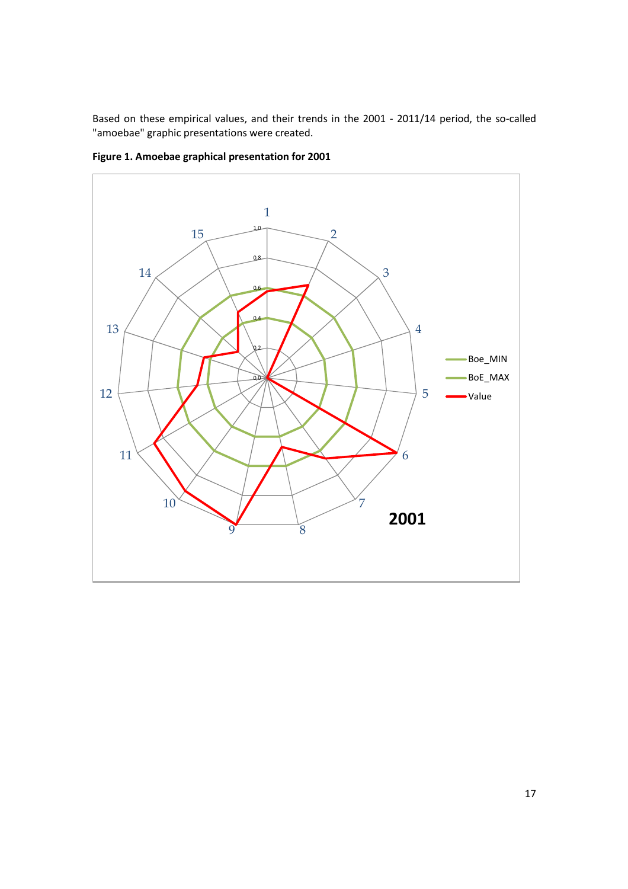Based on these empirical values, and their trends in the 2001 - 2011/14 period, the so-called "amoebae" graphic presentations were created.



**Figure 1. Amoebae graphical presentation for 2001**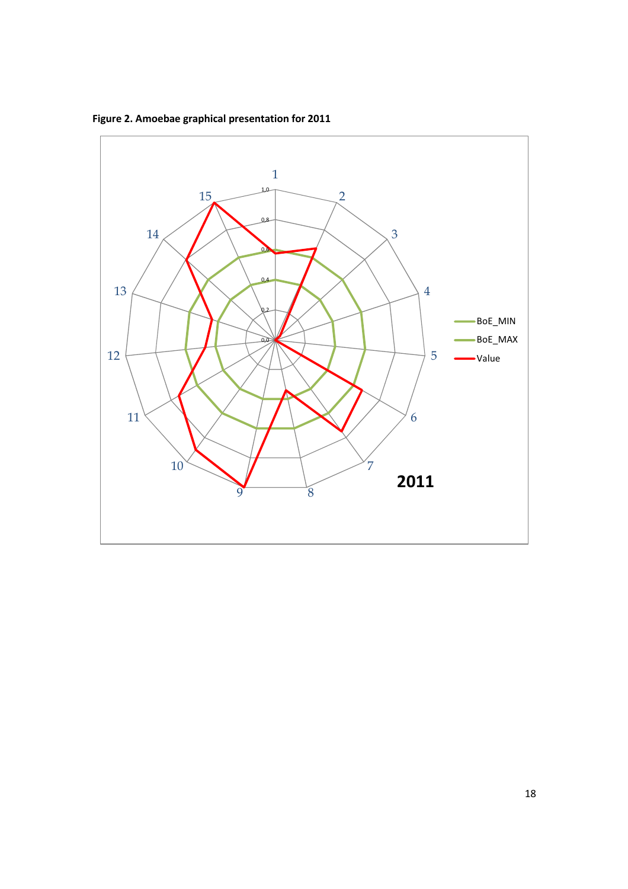

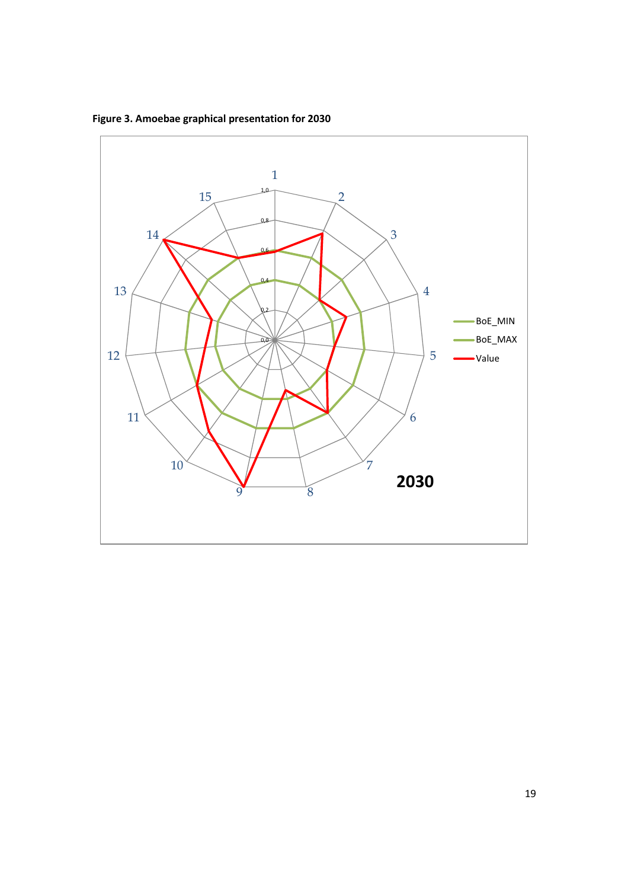**Figure 3. Amoebae graphical presentation for 2030** 

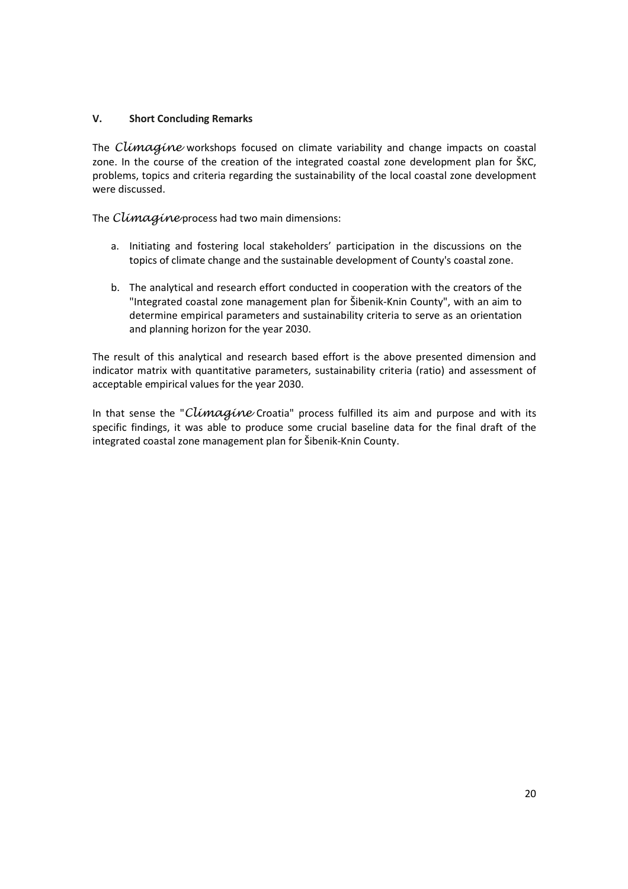## **V. Short Concluding Remarks**

The Climagine workshops focused on climate variability and change impacts on coastal zone. In the course of the creation of the integrated coastal zone development plan for ŠKC, problems, topics and criteria regarding the sustainability of the local coastal zone development were discussed.

The Climagine process had two main dimensions:

- a. Initiating and fostering local stakeholders' participation in the discussions on the topics of climate change and the sustainable development of County's coastal zone.
- b. The analytical and research effort conducted in cooperation with the creators of the "Integrated coastal zone management plan for Šibenik-Knin County", with an aim to determine empirical parameters and sustainability criteria to serve as an orientation and planning horizon for the year 2030.

The result of this analytical and research based effort is the above presented dimension and indicator matrix with quantitative parameters, sustainability criteria (ratio) and assessment of acceptable empirical values for the year 2030.

In that sense the "Climagine Croatia" process fulfilled its aim and purpose and with its specific findings, it was able to produce some crucial baseline data for the final draft of the integrated coastal zone management plan for Šibenik-Knin County.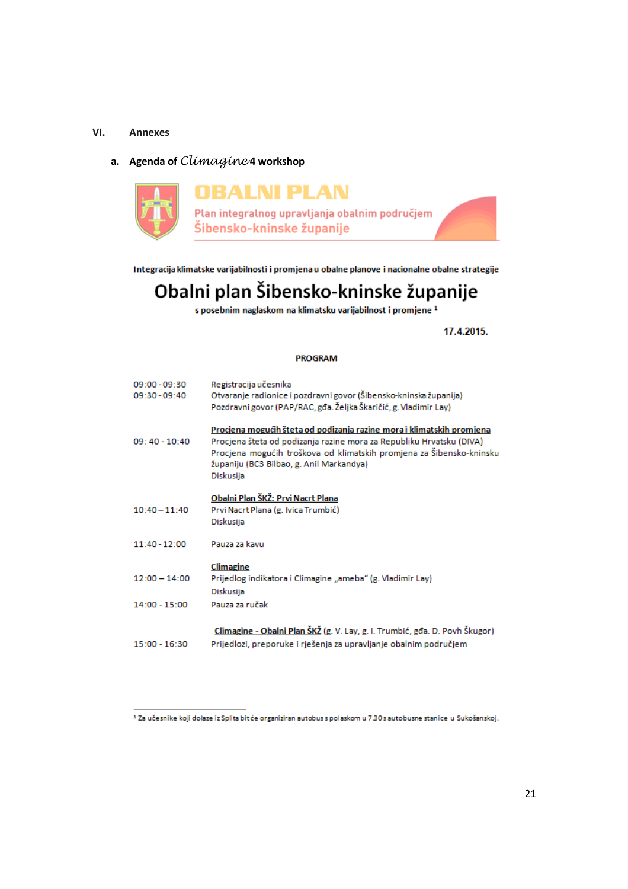## **VI. Annexes**

## **a. Agenda of** Climagine **4 workshop**



Integracija klimatske varijabilnosti i promjena u obalne planove i nacionalne obalne strategije

# Obalni plan Šibensko-kninske županije

s posebnim naglaskom na klimatsku varijabilnost i promjene<sup>1</sup>

17.4.2015.

#### **PROGRAM**

| 09:00 - 09:30   | Registracija učesnika                                                       |
|-----------------|-----------------------------------------------------------------------------|
| 09:30 - 09:40   | Otvaranje radionice i pozdravni govor (Šibensko-kninska županija)           |
|                 | Pozdravni govor (PAP/RAC, gđa. Željka Škaričić, g. Vladimir Lay)            |
|                 | Procjena mogućih šteta od podizanja razine mora i klimatskih promjena       |
| 09: 40 - 10:40  | Procjena šteta od podizanja razine mora za Republiku Hrvatsku (DIVA)        |
|                 | Procjena mogućih troškova od klimatskih promjena za Šibensko-kninsku        |
|                 | županiju (BC3 Bilbao, g. Anil Markandya)                                    |
|                 | Diskusija                                                                   |
|                 | Obalni Plan ŠKŽ: Prvi Nacrt Plana                                           |
| $10:40 - 11:40$ | Prvi Nacrt Plana (g. Ivica Trumbić)                                         |
|                 | Diskusija                                                                   |
|                 |                                                                             |
| 11:40 - 12:00   | Pauza za kavu                                                               |
|                 |                                                                             |
|                 | Climagine                                                                   |
| $12:00 - 14:00$ | Prijedlog indikatora i Climagine "ameba" (g. Vladimir Lay)                  |
|                 | Diskusija                                                                   |
| $14:00 - 15:00$ | Pauza za ručak                                                              |
|                 |                                                                             |
|                 | Climagine - Obalni Plan ŠKŽ (g. V. Lay, g. I. Trumbić, gđa. D. Povh Škugor) |
| 15:00 - 16:30   | Prijedlozi, preporuke i rješenja za upravljanje obalnim područjem           |
|                 |                                                                             |

<sup>&</sup>lt;sup>1</sup> Za učesnike koji dolaze iz Splita bit će organiziran autobus s polaskom u 7.30 s autobusne stanice u Sukošanskoj.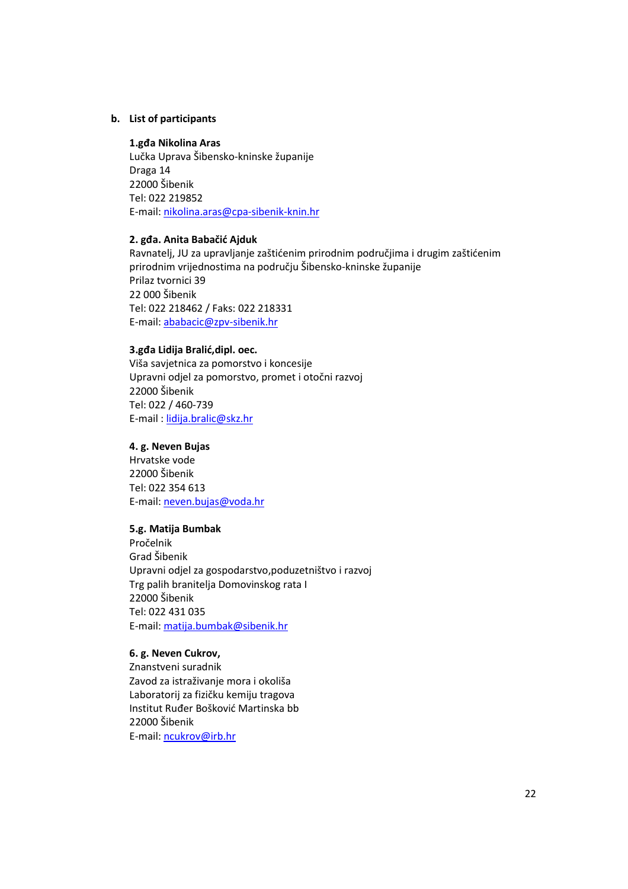## **b. List of participants**

## **1.gđa Nikolina Aras**

Lučka Uprava Šibensko-kninske županije Draga 14 22000 Šibenik Tel: 022 219852 E-mail: nikolina.aras@cpa-sibenik-knin.hr

#### **2. gđa. Anita Babačić Ajduk**

Ravnatelj, JU za upravljanje zaštićenim prirodnim područjima i drugim zaštićenim prirodnim vrijednostima na području Šibensko-kninske županije Prilaz tvornici 39 22 000 Šibenik Tel: 022 218462 / Faks: 022 218331 E-mail: ababacic@zpv-sibenik.hr

## **3.gđa Lidija Bralić,dipl. oec.**

Viša savjetnica za pomorstvo i koncesije Upravni odjel za pomorstvo, promet i otočni razvoj 22000 Šibenik Tel: 022 / 460-739 E-mail : lidija.bralic@skz.hr

## **4. g. Neven Bujas**

Hrvatske vode 22000 Šibenik Tel: 022 354 613 E-mail: neven.bujas@voda.hr

## **5.g. Matija Bumbak**

Pročelnik Grad Šibenik Upravni odjel za gospodarstvo,poduzetništvo i razvoj Trg palih branitelja Domovinskog rata I 22000 Šibenik Tel: 022 431 035 E-mail: matija.bumbak@sibenik.hr

## **6. g. Neven Cukrov,**

Znanstveni suradnik Zavod za istraživanje mora i okoliša Laboratorij za fizičku kemiju tragova Institut Ruđer Bošković Martinska bb 22000 Šibenik E-mail: ncukrov@irb.hr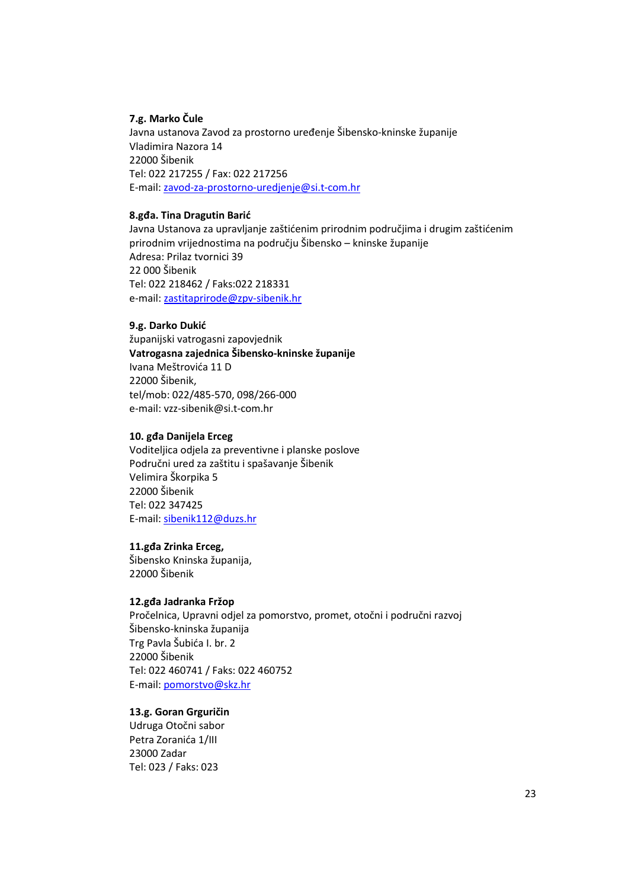## **7.g. Marko Čule**

Javna ustanova Zavod za prostorno uređenje Šibensko-kninske županije Vladimira Nazora 14 22000 Šibenik Tel: 022 217255 / Fax: 022 217256 E-mail: zavod-za-prostorno-uredjenje@si.t-com.hr

## **8.gđa. Tina Dragutin Barić**

Javna Ustanova za upravljanje zaštićenim prirodnim područjima i drugim zaštićenim prirodnim vrijednostima na području Šibensko – kninske županije Adresa: Prilaz tvornici 39 22 000 Šibenik Tel: 022 218462 / Faks:022 218331 e-mail: zastitaprirode@zpv-sibenik.hr

## **9.g. Darko Dukić**

županijski vatrogasni zapovjednik **Vatrogasna zajednica Šibensko-kninske županije** Ivana Meštrovića 11 D 22000 Šibenik, tel/mob: 022/485-570, 098/266-000 e-mail: vzz-sibenik@si.t-com.hr

## **10. gđa Danijela Erceg**

Voditeljica odjela za preventivne i planske poslove Područni ured za zaštitu i spašavanje Šibenik Velimira Škorpika 5 22000 Šibenik Tel: 022 347425 E-mail: sibenik112@duzs.hr

## **11.gđa Zrinka Erceg,**

Šibensko Kninska županija, 22000 Šibenik

#### **12.gđa Jadranka Fržop**

Pročelnica, Upravni odjel za pomorstvo, promet, otočni i područni razvoj Šibensko-kninska županija Trg Pavla Šubića I. br. 2 22000 Šibenik Tel: 022 460741 / Faks: 022 460752 E-mail: pomorstvo@skz.hr

## **13.g. Goran Grguričin**

Udruga Otočni sabor Petra Zoranića 1/III 23000 Zadar Tel: 023 / Faks: 023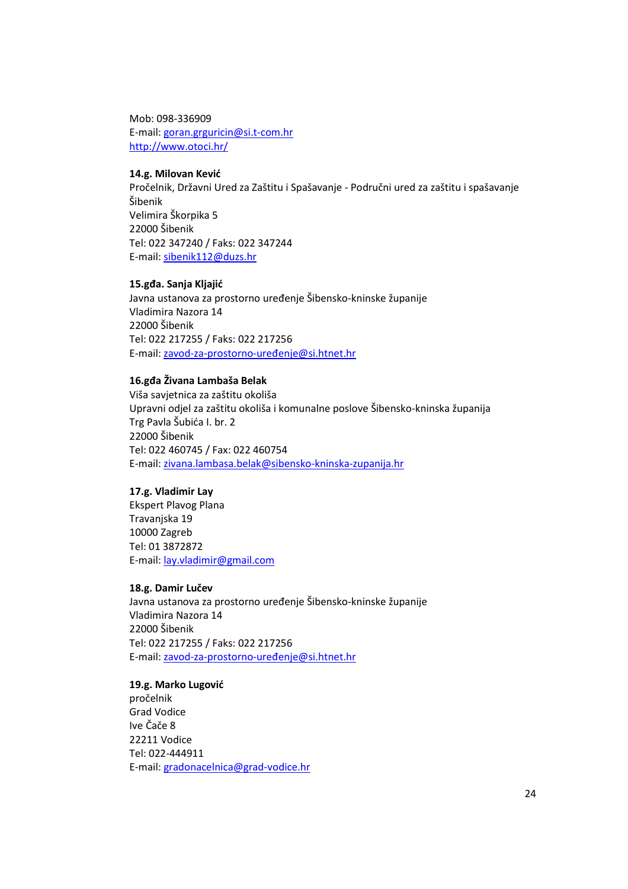Mob: 098-336909 E-mail: goran.grguricin@si.t-com.hr http://www.otoci.hr/

## **14.g. Milovan Kević**

Pročelnik, Državni Ured za Zaštitu i Spašavanje - Područni ured za zaštitu i spašavanje Šibenik Velimira Škorpika 5 22000 Šibenik Tel: 022 347240 / Faks: 022 347244 E-mail: sibenik112@duzs.hr

## **15.gđa. Sanja Kljajić**

Javna ustanova za prostorno uređenje Šibensko-kninske županije Vladimira Nazora 14 22000 Šibenik Tel: 022 217255 / Faks: 022 217256 E-mail: zavod-za-prostorno-uređenje@si.htnet.hr

#### **16.gđa Živana Lambaša Belak**

Viša savjetnica za zaštitu okoliša Upravni odjel za zaštitu okoliša i komunalne poslove Šibensko-kninska županija Trg Pavla Šubića I. br. 2 22000 Šibenik Tel: 022 460745 / Fax: 022 460754 E-mail: zivana.lambasa.belak@sibensko-kninska-zupanija.hr

## **17.g. Vladimir Lay**

Ekspert Plavog Plana Travanjska 19 10000 Zagreb Tel: 01 3872872 E-mail: lay.vladimir@gmail.com

#### **18.g. Damir Lučev**

Javna ustanova za prostorno uređenje Šibensko-kninske županije Vladimira Nazora 14 22000 Šibenik Tel: 022 217255 / Faks: 022 217256 E-mail: zavod-za-prostorno-uređenje@si.htnet.hr

**19.g. Marko Lugović**  pročelnik Grad Vodice Ive Čače 8 22211 Vodice Tel: 022-444911 E-mail: gradonacelnica@grad-vodice.hr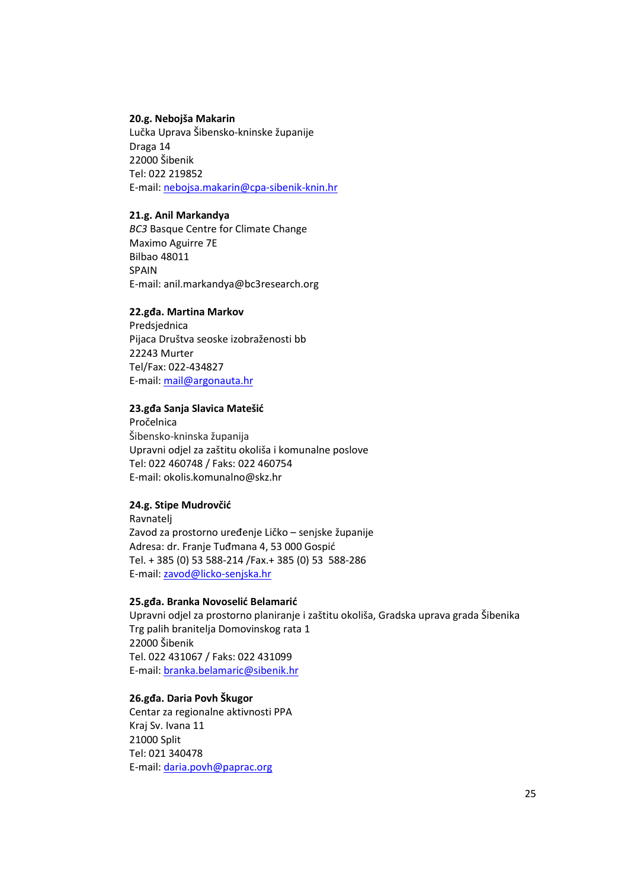## **20.g. Nebojša Makarin**

Lučka Uprava Šibensko-kninske županije Draga 14 22000 Šibenik Tel: 022 219852 E-mail: nebojsa.makarin@cpa-sibenik-knin.hr

## **21.g. Anil Markandya**

*BC3* Basque Centre for Climate Change Maximo Aguirre 7E Bilbao 48011 SPAIN E-mail: anil.markandya@bc3research.org

#### **22.gđa. Martina Markov**

Predsjednica Pijaca Društva seoske izobraženosti bb 22243 Murter Tel/Fax: 022-434827 E-mail: mail@argonauta.hr

#### **23.gđa Sanja Slavica Matešić**

Pročelnica Šibensko-kninska županija Upravni odjel za zaštitu okoliša i komunalne poslove Tel: 022 460748 / Faks: 022 460754 E-mail: okolis.komunalno@skz.hr

## **24.g. Stipe Mudrovčić**

Ravnatelj Zavod za prostorno uređenje Ličko – senjske županije Adresa: dr. Franje Tuđmana 4, 53 000 Gospić Tel. + 385 (0) 53 588-214 /Fax.+ 385 (0) 53 588-286 E-mail: zavod@licko-senjska.hr

#### **25.gđa. Branka Novoselić Belamarić**

Upravni odjel za prostorno planiranje i zaštitu okoliša, Gradska uprava grada Šibenika Trg palih branitelja Domovinskog rata 1 22000 Šibenik Tel. 022 431067 / Faks: 022 431099 E-mail: branka.belamaric@sibenik.hr

## **26.gđa. Daria Povh Škugor**

Centar za regionalne aktivnosti PPA Kraj Sv. Ivana 11 21000 Split Tel: 021 340478 E-mail: daria.povh@paprac.org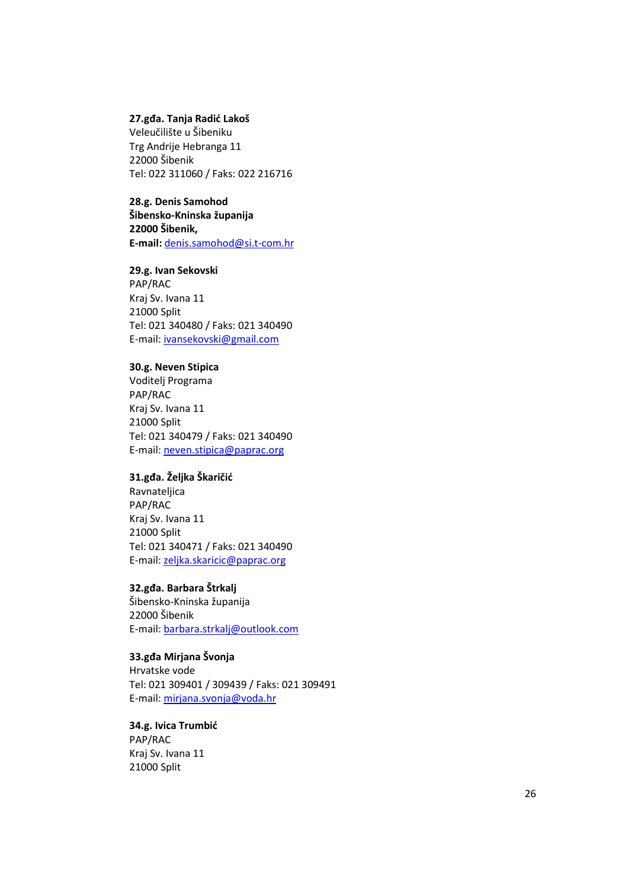## **27.gđa. Tanja Radić Lakoš**

Veleučilište u Šibeniku Trg Andrije Hebranga 11 22000 Šibenik Tel: 022 311060 / Faks: 022 216716

#### **28.g. Denis Samohod**

**Šibensko-Kninska županija 22000 Šibenik, E-mail:** denis.samohod@si.t-com.hr

#### **29.g. Ivan Sekovski**

PAP/RAC Kraj Sv. Ivana 11 21000 Split Tel: 021 340480 / Faks: 021 340490 E-mail: ivansekovski@gmail.com

## **30.g. Neven Stipica**

Voditelj Programa PAP/RAC Kraj Sv. Ivana 11 21000 Split Tel: 021 340479 / Faks: 021 340490 E-mail: neven.stipica@paprac.org

## **31.gđa. Željka Škaričić**

Ravnateljica PAP/RAC Kraj Sv. Ivana 11 21000 Split Tel: 021 340471 / Faks: 021 340490 E-mail: zeljka.skaricic@paprac.org

## **32.gđa. Barbara Štrkalj**

Šibensko-Kninska županija 22000 Šibenik E-mail: barbara.strkalj@outlook.com

## **33.gđa Mirjana Švonja**

Hrvatske vode Tel: 021 309401 / 309439 / Faks: 021 309491 E-mail: mirjana.svonja@voda.hr

## **34.g. Ivica Trumbić**  PAP/RAC Kraj Sv. Ivana 11 21000 Split